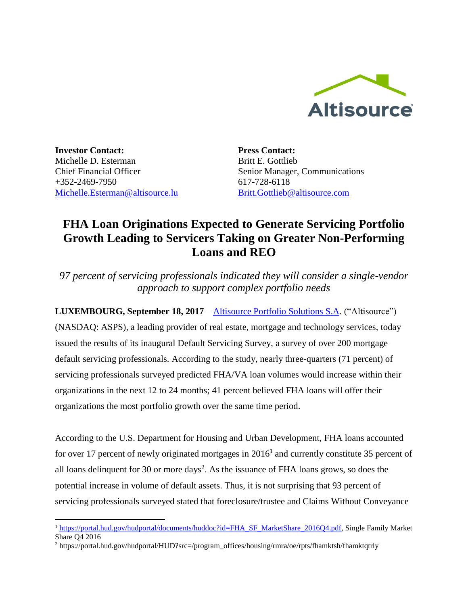

**Investor Contact:** Michelle D. Esterman Chief Financial Officer +352-2469-7950 [Michelle.Esterman@altisource.lu](mailto:Michelle.Esterman@altisource.lu)

 $\overline{\phantom{a}}$ 

**Press Contact:** Britt E. Gottlieb Senior Manager, Communications 617-728-6118 [Britt.Gottlieb@altisource.com](mailto:Britt.Gottlieb@altisource.com)

# **FHA Loan Originations Expected to Generate Servicing Portfolio Growth Leading to Servicers Taking on Greater Non-Performing Loans and REO**

*97 percent of servicing professionals indicated they will consider a single-vendor approach to support complex portfolio needs*

**LUXEMBOURG, September 18, 2017** – [Altisource Portfolio Solutions S.A.](https://www.altisource.com/?utm_campaign=ServicerSurvey&utm_source=PR&utm_medium=PR&utm_content=first) ("Altisource") (NASDAQ: ASPS), a leading provider of real estate, mortgage and technology services, today issued the results of its inaugural Default Servicing Survey, a survey of over 200 mortgage default servicing professionals. According to the study, nearly three-quarters (71 percent) of servicing professionals surveyed predicted FHA/VA loan volumes would increase within their organizations in the next 12 to 24 months; 41 percent believed FHA loans will offer their organizations the most portfolio growth over the same time period.

According to the U.S. Department for Housing and Urban Development, FHA loans accounted for over 17 percent of newly originated mortgages in  $2016<sup>1</sup>$  and currently constitute 35 percent of all loans delinquent for 30 or more days<sup>2</sup>. As the issuance of FHA loans grows, so does the potential increase in volume of default assets. Thus, it is not surprising that 93 percent of servicing professionals surveyed stated that foreclosure/trustee and Claims Without Conveyance

<sup>1</sup> [https://portal.hud.gov/hudportal/documents/huddoc?id=FHA\\_SF\\_MarketShare\\_2016Q4.pdf,](https://portal.hud.gov/hudportal/documents/huddoc?id=FHA_SF_MarketShare_2016Q4.pdf) Single Family Market Share Q4 2016

<sup>2</sup> [https://portal.hud.gov/hudportal/HUD?src=/program\\_offices/housing/rmra/oe/rpts/fhamktsh/fhamktqtrly](https://portal.hud.gov/hudportal/HUD?src=/program_offices/housing/rmra/oe/rpts/fhamktsh/fhamktqtrly)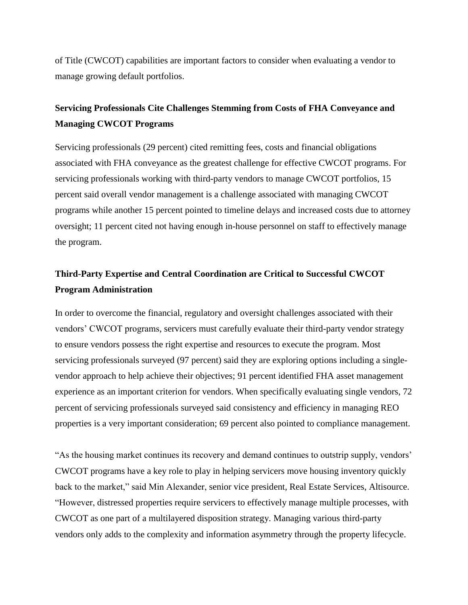of Title (CWCOT) capabilities are important factors to consider when evaluating a vendor to manage growing default portfolios.

### **Servicing Professionals Cite Challenges Stemming from Costs of FHA Conveyance and Managing CWCOT Programs**

Servicing professionals (29 percent) cited remitting fees, costs and financial obligations associated with FHA conveyance as the greatest challenge for effective CWCOT programs. For servicing professionals working with third-party vendors to manage CWCOT portfolios, 15 percent said overall vendor management is a challenge associated with managing CWCOT programs while another 15 percent pointed to timeline delays and increased costs due to attorney oversight; 11 percent cited not having enough in-house personnel on staff to effectively manage the program.

## **Third-Party Expertise and Central Coordination are Critical to Successful CWCOT Program Administration**

In order to overcome the financial, regulatory and oversight challenges associated with their vendors' CWCOT programs, servicers must carefully evaluate their third-party vendor strategy to ensure vendors possess the right expertise and resources to execute the program. Most servicing professionals surveyed (97 percent) said they are exploring options including a singlevendor approach to help achieve their objectives; 91 percent identified FHA asset management experience as an important criterion for vendors. When specifically evaluating single vendors, 72 percent of servicing professionals surveyed said consistency and efficiency in managing REO properties is a very important consideration; 69 percent also pointed to compliance management.

"As the housing market continues its recovery and demand continues to outstrip supply, vendors' CWCOT programs have a key role to play in helping servicers move housing inventory quickly back to the market," said Min Alexander, senior vice president, Real Estate Services, Altisource. "However, distressed properties require servicers to effectively manage multiple processes, with CWCOT as one part of a multilayered disposition strategy. Managing various third-party vendors only adds to the complexity and information asymmetry through the property lifecycle.